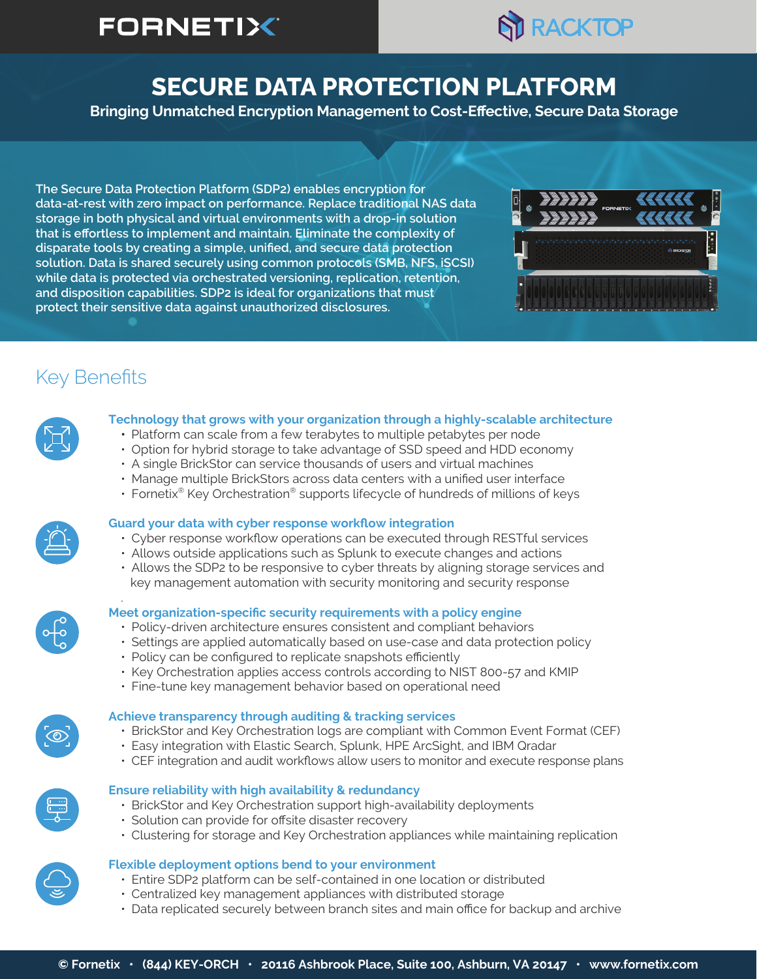# **FORNETIX®**



## **SECURE DATA PROTECTION PLATFORM**

**Bringing Unmatched Encryption Management to Cost-Effective, Secure Data Storage**

**The Secure Data Protection Platform (SDP2) enables encryption for data-at-rest with zero impact on performance. Replace traditional NAS data storage in both physical and virtual environments with a drop-in solution that is effortless to implement and maintain. Eliminate the complexity of disparate tools by creating a simple, unified, and secure data protection solution. Data is shared securely using common protocols (SMB, NFS, iSCSI) while data is protected via orchestrated versioning, replication, retention, and disposition capabilities. SDP2 is ideal for organizations that must protect their sensitive data against unauthorized disclosures.**



## Key Benefits



### **Technology that grows with your organization through a highly-scalable architecture**

- Platform can scale from a few terabytes to multiple petabytes per node
- Option for hybrid storage to take advantage of SSD speed and HDD economy
- A single BrickStor can service thousands of users and virtual machines
- Manage multiple BrickStors across data centers with a unified user interface
- Fornetix<sup>®</sup> Key Orchestration<sup>®</sup> supports lifecycle of hundreds of millions of keys

### **Guard your data with cyber response workflow integration**

- Cyber response workflow operations can be executed through RESTful services
- Allows outside applications such as Splunk to execute changes and actions
- Allows the SDP2 to be responsive to cyber threats by aligning storage services and key management automation with security monitoring and security response



### . **Meet organization-specific security requirements with a policy engine**

- Policy-driven architecture ensures consistent and compliant behaviors
- Settings are applied automatically based on use-case and data protection policy
- Policy can be configured to replicate snapshots efficiently
- Key Orchestration applies access controls according to NIST 800-57 and KMIP
- Fine-tune key management behavior based on operational need

### **Achieve transparency through auditing & tracking services**

- BrickStor and Key Orchestration logs are compliant with Common Event Format (CEF)
- Easy integration with Elastic Search, Splunk, HPE ArcSight, and IBM Qradar
- CEF integration and audit workflows allow users to monitor and execute response plans

### **Ensure reliability with high availability & redundancy**

- BrickStor and Key Orchestration support high-availability deployments
- Solution can provide for offsite disaster recovery
- Clustering for storage and Key Orchestration appliances while maintaining replication

### **Flexible deployment options bend to your environment**

- Entire SDP2 platform can be self-contained in one location or distributed
- Centralized key management appliances with distributed storage
- Data replicated securely between branch sites and main office for backup and archive